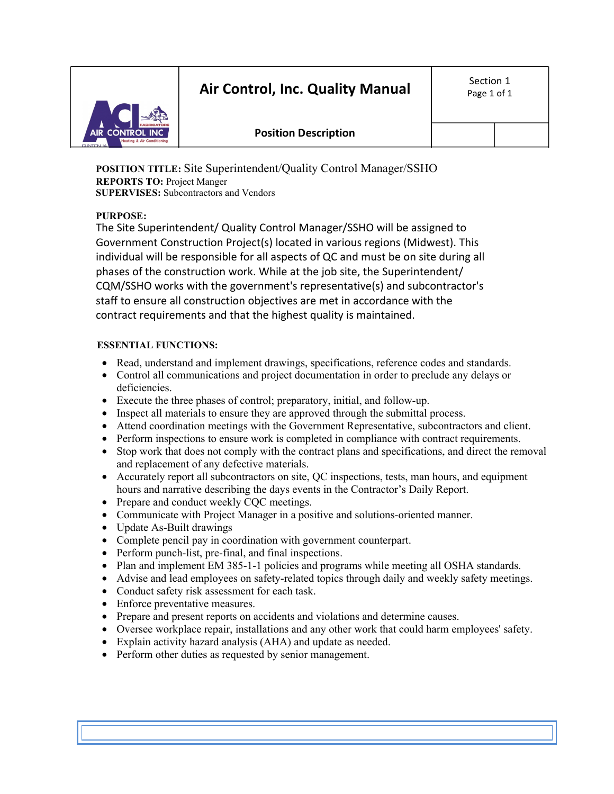# **Air Control, Inc. Quality Manual**



## **Position Description**

**POSITION TITLE:** Site Superintendent/Quality Control Manager/SSHO **REPORTS TO:** Project Manger **SUPERVISES:** Subcontractors and Vendors

### **PURPOSE:**

The Site Superintendent/ Quality Control Manager/SSHO will be assigned to Government Construction Project(s) located in various regions (Midwest). This individual will be responsible for all aspects of QC and must be on site during all phases of the construction work. While at the job site, the Superintendent/ CQM/SSHO works with the government's representative(s) and subcontractor's staff to ensure all construction objectives are met in accordance with the contract requirements and that the highest quality is maintained.

#### **ESSENTIAL FUNCTIONS:**

- Read, understand and implement drawings, specifications, reference codes and standards.
- Control all communications and project documentation in order to preclude any delays or deficiencies.
- Execute the three phases of control; preparatory, initial, and follow-up.
- Inspect all materials to ensure they are approved through the submittal process.
- Attend coordination meetings with the Government Representative, subcontractors and client.
- Perform inspections to ensure work is completed in compliance with contract requirements.
- Stop work that does not comply with the contract plans and specifications, and direct the removal and replacement of any defective materials.
- Accurately report all subcontractors on site, QC inspections, tests, man hours, and equipment hours and narrative describing the days events in the Contractor's Daily Report.
- Prepare and conduct weekly CQC meetings.
- Communicate with Project Manager in a positive and solutions-oriented manner.
- Update As-Built drawings
- Complete pencil pay in coordination with government counterpart.
- Perform punch-list, pre-final, and final inspections.
- Plan and implement EM 385-1-1 policies and programs while meeting all OSHA standards.
- Advise and lead employees on safety-related topics through daily and weekly safety meetings.
- Conduct safety risk assessment for each task.
- Enforce preventative measures.
- Prepare and present reports on accidents and violations and determine causes.
- Oversee workplace repair, installations and any other work that could harm employees' safety.
- Explain activity hazard analysis (AHA) and update as needed.
- Perform other duties as requested by senior management.